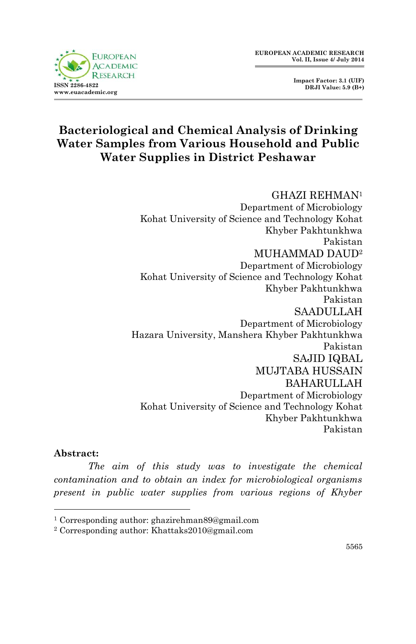

 **Impact Factor: 3.1 (UIF) DRJI Value: 5.9 (B+)**

# **Bacteriological and Chemical Analysis of Drinking Water Samples from Various Household and Public Water Supplies in District Peshawar**

## GHAZI REHMAN<sup>1</sup>

Department of Microbiology Kohat University of Science and Technology Kohat Khyber Pakhtunkhwa Pakistan MUHAMMAD DAUD<sup>2</sup> Department of Microbiology Kohat University of Science and Technology Kohat Khyber Pakhtunkhwa Pakistan SAADULLAH Department of Microbiology Hazara University, Manshera Khyber Pakhtunkhwa Pakistan SAJID IQBAL MUJTABA HUSSAIN BAHARULLAH Department of Microbiology Kohat University of Science and Technology Kohat Khyber Pakhtunkhwa Pakistan

### **Abstract:**

**.** 

*The aim of this study was to investigate the chemical contamination and to obtain an index for microbiological organisms present in public water supplies from various regions of Khyber* 

<sup>1</sup> Corresponding author: ghazirehman89@gmail.com

<sup>2</sup> Corresponding author: Khattaks2010@gmail.com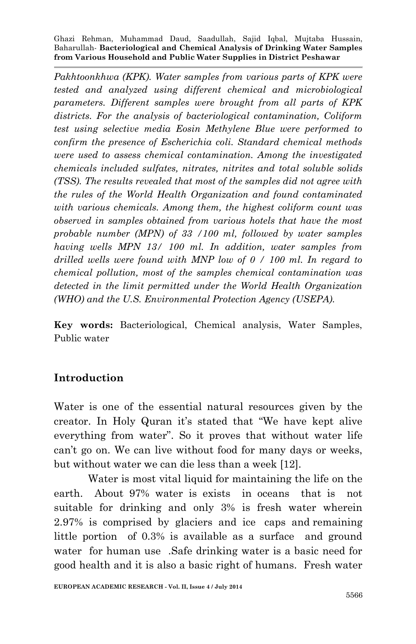Pakhtoonkhwa (KPK). Water samples from various parts of KPK were *tested and analyzed using different chemical and microbiological parameters. Different samples were brought from all parts of KPK districts. For the analysis of bacteriological contamination, Coliform test using selective media Eosin Methylene Blue were performed to confirm the presence of Escherichia coli. Standard chemical methods were used to assess chemical contamination. Among the investigated chemicals included sulfates, nitrates, nitrites and total soluble solids (TSS). The results revealed that most of the samples did not agree with the rules of the World Health Organization and found contaminated with various chemicals. Among them, the highest coliform count was observed in samples obtained from various hotels that have the most probable number (MPN) of 33 /100 ml, followed by water samples having wells MPN 13/ 100 ml. In addition, water samples from drilled wells were found with MNP low of 0 / 100 ml. In regard to chemical pollution, most of the samples chemical contamination was detected in the limit permitted under the World Health Organization (WHO) and the U.S. Environmental Protection Agency (USEPA).* 

**Key words:** Bacteriological, Chemical analysis, Water Samples, Public water

### **Introduction**

Water is one of the essential natural resources given by the creator. In Holy Quran it's stated that "We have kept alive everything from water". So it proves that without water life can't go on. We can live without food for many days or weeks, but without water we can die less than a week [12].

Water is most vital liquid for maintaining the life on the earth. About 97% water is exists in oceans that is not suitable for drinking and only 3% is fresh water wherein 2.97% is comprised by glaciers and ice caps and remaining little portion of 0.3% is available as a surface and ground water for human use .Safe drinking water is a basic need for good health and it is also a basic right of humans. Fresh water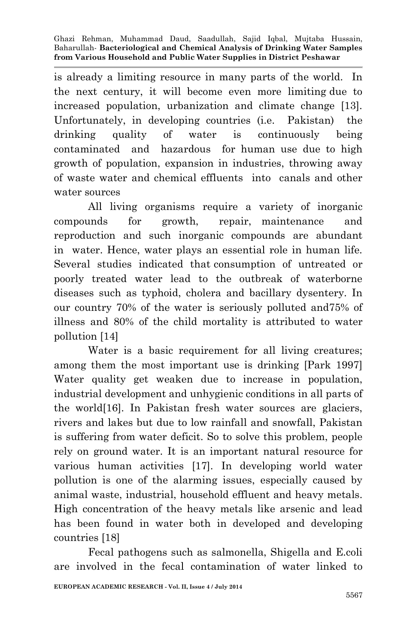is already a limiting resource in many parts of the world. In the next century, it will become even more limiting due to increased population, urbanization and climate change [13]. Unfortunately, in developing countries (i.e. Pakistan) the drinking quality of water is continuously being contaminated and hazardous for human use due to high growth of population, expansion in industries, throwing away of waste water and chemical effluents into canals and other water sources

All living organisms require a variety of inorganic compounds for growth, repair, maintenance and reproduction and such inorganic compounds are abundant in water. Hence, water plays an essential role in human life. Several studies indicated that consumption of untreated or poorly treated water lead to the outbreak of waterborne diseases such as typhoid, cholera and bacillary dysentery. In our country 70% of the water is seriously polluted and75% of illness and 80% of the child mortality is attributed to water pollution [14]

Water is a basic requirement for all living creatures; among them the most important use is drinking [Park 1997] Water quality get weaken due to increase in population, industrial development and unhygienic conditions in all parts of the world[16]. In Pakistan fresh water sources are glaciers, rivers and lakes but due to low rainfall and snowfall, Pakistan is suffering from water deficit. So to solve this problem, people rely on ground water. It is an important natural resource for various human activities [17]. In developing world water pollution is one of the alarming issues, especially caused by animal waste, industrial, household effluent and heavy metals. High concentration of the heavy metals like arsenic and lead has been found in water both in developed and developing countries [18]

Fecal pathogens such as salmonella, Shigella and E.coli are involved in the fecal contamination of water linked to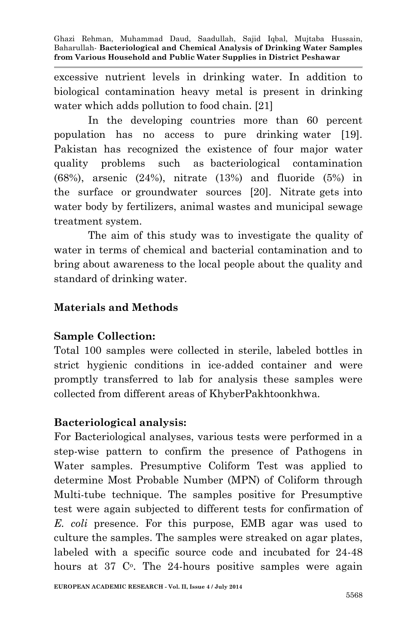excessive nutrient levels in drinking water. In addition to biological contamination heavy metal is present in drinking water which adds pollution to food chain. [21]

In the developing countries more than 60 percent population has no access to pure drinking water [19]. Pakistan has recognized the existence of four major water quality problems such as bacteriological contamination (68%), arsenic (24%), nitrate (13%) and fluoride (5%) in the surface or groundwater sources [20]. Nitrate gets into water body by fertilizers, animal wastes and municipal sewage treatment system.

The aim of this study was to investigate the quality of water in terms of chemical and bacterial contamination and to bring about awareness to the local people about the quality and standard of drinking water.

### **Materials and Methods**

### **Sample Collection:**

Total 100 samples were collected in sterile, labeled bottles in strict hygienic conditions in ice-added container and were promptly transferred to lab for analysis these samples were collected from different areas of KhyberPakhtoonkhwa.

### **Bacteriological analysis:**

For Bacteriological analyses, various tests were performed in a step-wise pattern to confirm the presence of Pathogens in Water samples. Presumptive Coliform Test was applied to determine Most Probable Number (MPN) of Coliform through Multi-tube technique. The samples positive for Presumptive test were again subjected to different tests for confirmation of *E. coli* presence. For this purpose, EMB agar was used to culture the samples. The samples were streaked on agar plates, labeled with a specific source code and incubated for 24-48 hours at 37 C<sup>o</sup>. The 24-hours positive samples were again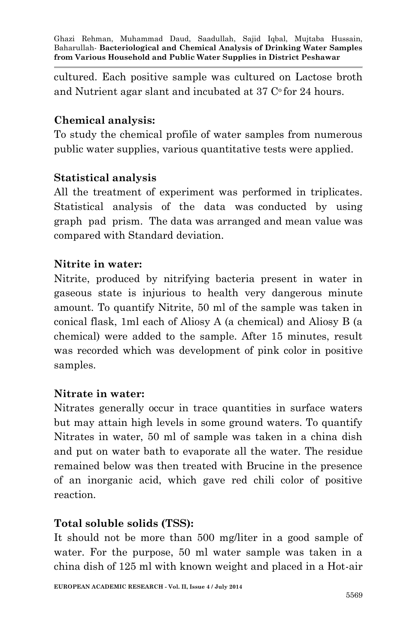cultured. Each positive sample was cultured on Lactose broth and Nutrient agar slant and incubated at  $37 \degree$  for 24 hours.

### **Chemical analysis:**

To study the chemical profile of water samples from numerous public water supplies, various quantitative tests were applied.

### **Statistical analysis**

All the treatment of experiment was performed in triplicates. Statistical analysis of the data was conducted by using graph pad prism. The data was arranged and mean value was compared with Standard deviation.

### **Nitrite in water:**

Nitrite, produced by nitrifying bacteria present in water in gaseous state is injurious to health very dangerous minute amount. To quantify Nitrite, 50 ml of the sample was taken in conical flask, 1ml each of Aliosy A (a chemical) and Aliosy B (a chemical) were added to the sample. After 15 minutes, result was recorded which was development of pink color in positive samples.

### **Nitrate in water:**

Nitrates generally occur in trace quantities in surface waters but may attain high levels in some ground waters. To quantify Nitrates in water, 50 ml of sample was taken in a china dish and put on water bath to evaporate all the water. The residue remained below was then treated with Brucine in the presence of an inorganic acid, which gave red chili color of positive reaction.

### **Total soluble solids (TSS):**

It should not be more than 500 mg/liter in a good sample of water. For the purpose, 50 ml water sample was taken in a china dish of 125 ml with known weight and placed in a Hot-air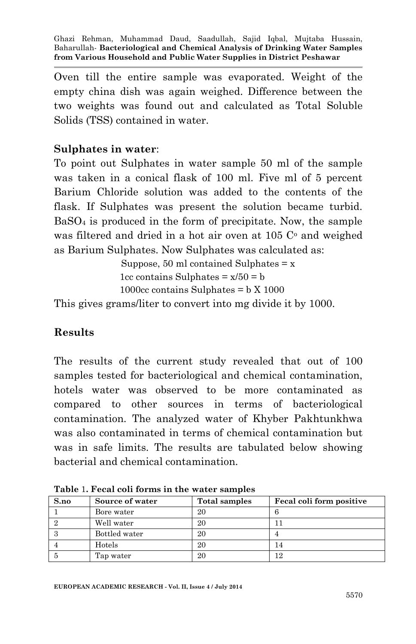Oven till the entire sample was evaporated. Weight of the empty china dish was again weighed. Difference between the two weights was found out and calculated as Total Soluble Solids (TSS) contained in water.

### **Sulphates in water**:

To point out Sulphates in water sample 50 ml of the sample was taken in a conical flask of 100 ml. Five ml of 5 percent Barium Chloride solution was added to the contents of the flask. If Sulphates was present the solution became turbid. BaSO<sup>4</sup> is produced in the form of precipitate. Now, the sample was filtered and dried in a hot air oven at  $105 \degree$  and weighed as Barium Sulphates. Now Sulphates was calculated as:

> Suppose, 50 ml contained Sulphates  $= x$ 1cc contains Sulphates  $= x/50 = b$ 1000 $cc$  contains Sulphates =  $\frac{1000}{c}$

This gives grams/liter to convert into mg divide it by 1000.

### **Results**

The results of the current study revealed that out of 100 samples tested for bacteriological and chemical contamination, hotels water was observed to be more contaminated as compared to other sources in terms of bacteriological contamination. The analyzed water of Khyber Pakhtunkhwa was also contaminated in terms of chemical contamination but was in safe limits. The results are tabulated below showing bacterial and chemical contamination.

| S.no | Source of water | Total samples | Fecal coli form positive |
|------|-----------------|---------------|--------------------------|
|      | Bore water      | 20            |                          |
|      | Well water      | 20            |                          |
|      | Bottled water   | 20            |                          |
|      | Hotels          | 20            | 14                       |
|      | Tap water       | 20            | 12                       |

**Table** 1**. Fecal coli forms in the water samples**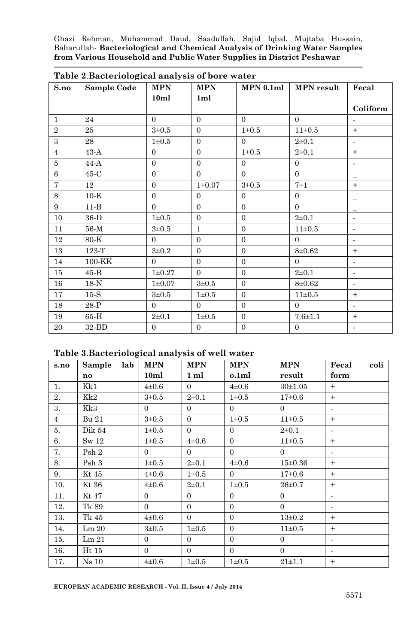| S.no           | Sample Code | <b>MPN</b>     | <b>MPN</b>     |                | $MPN 0.1ml$ MPN result | Fecal                    |
|----------------|-------------|----------------|----------------|----------------|------------------------|--------------------------|
|                |             | 10ml           | 1ml            |                |                        |                          |
|                |             |                |                |                |                        | Coliform                 |
| $\mathbf{1}$   | 24          | $\theta$       | $\theta$       | $\Omega$       | $\Omega$               |                          |
| $\overline{2}$ | 25          | $3 + 0.5$      | $\Omega$       | $1\pm0.5$      | $11\pm0.5$             | $+$                      |
| $\overline{3}$ | 28          | $1\pm0.5$      | $\Omega$       | $\Omega$       | $2\pm 0.1$             | $\mathbf{r}$             |
| $\overline{4}$ | $43-A$      | $\mathbf{0}$   | $\Omega$       | $1\pm0.5$      | $2\pm 0.1$             | $+$                      |
| 5              | $44-A$      | $\Omega$       | $\theta$       | $\theta$       | $\overline{0}$         | $\mathbf{r}$             |
| 6              | $45-C$      | $\Omega$       | $\Omega$       | $\Omega$       | $\overline{0}$         | $\overline{\phantom{0}}$ |
| $\tau$         | 12          | $\Omega$       | $1 \pm 0.07$   | $3\pm0.5$      | $7\pm1$                | $+$                      |
| 8              | $10-K$      | $\Omega$       | $\Omega$       | $\theta$       | $\overline{0}$         | $\qquad \qquad -$        |
| 9              | $11-B$      | $\overline{0}$ | $\theta$       | $\overline{0}$ | $\Omega$               | $\overline{\phantom{0}}$ |
| 10             | 36-D        | $1\pm0.5$      | $\theta$       | $\mathbf{0}$   | $2 + 0.1$              | $\blacksquare$           |
| 11             | 56-M        | $3\pm0.5$      | $\mathbf{1}$   | $\theta$       | $11\pm0.5$             | $\blacksquare$           |
| 12             | 80-K        | $\theta$       | $\Omega$       | $\theta$       | $\overline{0}$         | $\blacksquare$           |
| 13             | 123 T       | $3\pm0.2$      | $\Omega$       | $\overline{0}$ | $8 + 0.62$             | $+$                      |
| 14             | 100-KK      | $\Omega$       | $\Omega$       | $\theta$       | $\overline{0}$         | $\mathbf{r}$             |
| 15             | $45-B$      | $1\pm0.27$     | $\Omega$       | $\mathbf{0}$   | $2\pm 0.1$             | $\blacksquare$           |
| $16\,$         | $18-N$      | $1 \pm 0.07$   | $3\pm0.5$      | $\theta$       | $8 + 0.62$             | $\mathbf{r}$             |
| 17             | $15-S$      | $3\pm0.5$      | $1\pm0.5$      | $\mathbf{0}$   | $11\pm0.5$             | $+$                      |
| 18             | 28-P        | $\Omega$       | $\Omega$       | $\theta$       | $\Omega$               | $\blacksquare$           |
| 19             | 65-H        | $2 + 0.1$      | $1\pm0.5$      | $\theta$       | $7.6 + 1.1$            | $+$                      |
| 20             | 32-BD       | $\Omega$       | $\overline{0}$ | $\mathbf{0}$   | $\overline{0}$         | $\mathbf{r}$             |

|  |  |  |  | Table 2. Bacteriological analysis of bore water |  |  |  |  |  |
|--|--|--|--|-------------------------------------------------|--|--|--|--|--|
|--|--|--|--|-------------------------------------------------|--|--|--|--|--|

#### **Table 3**.**Bacteriological analysis of well water**

| s.no           | Sample lab       | <b>MPN</b>     | <b>MPN</b>     | <b>MPN</b>     | <b>MPN</b>         | Fecal coli     |
|----------------|------------------|----------------|----------------|----------------|--------------------|----------------|
|                | no               | 10ml           | $1 \text{ ml}$ | o.1ml          | result             | form           |
| 1.             | Kk1              | $4\pm 0.6$     | $\overline{0}$ | $4\pm0.6$      | $30+1.05$          | $+$            |
| 2.             | Kk2              | $3\pm0.5$      | $2\pm 0.1$     | $1\pm0.5$      | $17\pm0.6$         | $+$            |
| 3.             | Kk3              | $\overline{0}$ | $\Omega$       | $\overline{0}$ | $\overline{0}$     | $\blacksquare$ |
| $\overline{4}$ | <b>Bu 21</b>     | $3\pm0.5$      | $\Omega$       | $1\pm0.5$      | $11\pm0.5$         | $+$            |
| 5.             | Dik 54           | $1\pm0.5$      | $\overline{0}$ | $\Omega$       | $2\pm 0.1$         |                |
| 6.             | Sw <sub>12</sub> | $1\pm0.5$      | $4\pm 0.6$     | $\Omega$       | $11\pm0.5$         | $+$            |
| 7.             | Psh2             | $\overline{0}$ | $\overline{0}$ | $\Omega$       | $\overline{0}$     |                |
| 8.             | Psh 3            | $1\pm0.5$      | $2\pm 0.1$     | $4\pm 0.6$     | $15 \pm 0.36$      | $+$            |
| 9.             | Kt 45            | $4\pm0.6$      | $1\pm0.5$      | $\Omega$       | 17 <sub>±0.6</sub> | $+$            |
| 10.            | Kt 36            | $4\pm 0.6$     | $2\pm 0.1$     | $1\pm0.5$      | $26 \pm 0.7$       | $+$            |
| 11.            | Kt 47            | $\Omega$       | $\Omega$       | $\Omega$       | $\overline{0}$     | $\blacksquare$ |
| 12.            | Tk 89            | $\Omega$       | $\Omega$       | $\Omega$       | $\Omega$           | $\blacksquare$ |
| 13.            | Tk 45            | $4\pm 0.6$     | $\overline{0}$ | $\Omega$       | $13\pm0.2$         | $+$            |
| 14.            | Lm 20            | $3\pm0.5$      | $1\pm0.5$      | $\Omega$       | $11\pm0.5$         | $+$            |
| 15.            | Lm 21            | $\Omega$       | $\Omega$       | $\Omega$       | $\Omega$           |                |
| 16.            | Ht 15            | $\overline{0}$ | $\overline{0}$ | $\overline{0}$ | $\overline{0}$     | ٠              |
| 17.            | $Ns$ 10          | $4\pm0.6$      | $1\pm0.5$      | $1\pm0.5$      | $21 \pm 1.1$       | $+$            |

**EUROPEAN ACADEMIC RESEARCH - Vol. II, Issue 4 / July 2014**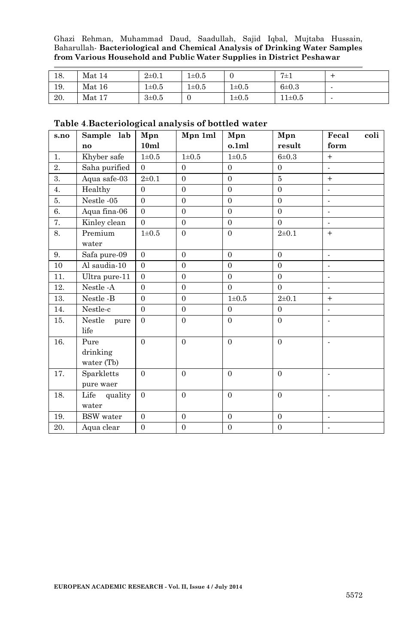| 18. | Mat 14 | $2\pm 0.1$ | $1\pm0.5$ | υ         | $7\pm1$   |  |
|-----|--------|------------|-----------|-----------|-----------|--|
| 19. | Mat 16 | $1\pm0.5$  | $1\pm0.5$ | $1\pm0.5$ | $6\pm0.3$ |  |
| 20. | Mat 17 | $3\pm0.5$  |           | $1\pm0.5$ | 11±0.5    |  |

#### **Table 4**.**Bacteriological analysis of bottled water**

| s.no             | Sample lab                     | Mpn              | Mpn 1ml        | Mpn               | Mpn            | Fecal<br>coli            |
|------------------|--------------------------------|------------------|----------------|-------------------|----------------|--------------------------|
|                  | no                             | 10 <sub>ml</sub> |                | 0.1 <sub>ml</sub> | result         | form                     |
| 1.               | Khyber safe                    | $1\pm0.5$        | $1\pm0.5$      | $1\pm0.5$         | $6 + 0.3$      | $+$                      |
| $\overline{2}$ . | Saha purified                  | $\Omega$         | $\mathbf{0}$   | $\overline{0}$    | $\overline{0}$ | ä,                       |
| 3.               | Aqua safe-03                   | $2\pm 0.1$       | $\Omega$       | $\overline{0}$    | 5              | $+$                      |
| 4.               | Healthy                        | $\Omega$         | $\overline{0}$ | $\overline{0}$    | $\overline{0}$ | $\overline{a}$           |
| 5.               | Nestle -05                     | $\Omega$         | $\overline{0}$ | $\overline{0}$    | $\Omega$       | ä,                       |
| 6.               | Aqua fina-06                   | $\Omega$         | $\Omega$       | $\Omega$          | $\Omega$       | $\overline{a}$           |
| 7.               | Kinley clean                   | $\Omega$         | $\Omega$       | $\Omega$          | $\Omega$       |                          |
| 8.               | Premium                        | $1\pm0.5$        | $\overline{0}$ | $\overline{0}$    | $2\pm 0.1$     | $+$                      |
|                  | water                          |                  |                |                   |                |                          |
| 9.               | Safa pure-09                   | $\Omega$         | $\Omega$       | $\Omega$          | $\Omega$       | $\overline{a}$           |
| 10               | Al saudia-10                   | $\Omega$         | $\overline{0}$ | $\Omega$          | $\Omega$       | $\overline{\phantom{a}}$ |
| 11.              | Ultra pure-11                  | $\Omega$         | $\Omega$       | $\Omega$          | $\Omega$       |                          |
| 12.              | Nestle -A                      | $\Omega$         | $\overline{0}$ | $\Omega$          | $\Omega$       | $\overline{a}$           |
| 13.              | Nestle -B                      | $\Omega$         | $\overline{0}$ | $1\pm0.5$         | $2\pm 0.1$     | $+$                      |
| 14.              | Nestle-c                       | $\Omega$         | $\overline{0}$ | $\Omega$          | $\Omega$       | $\overline{a}$           |
| 15.              | Nestle<br>pure<br>life         | $\Omega$         | $\overline{0}$ | $\overline{0}$    | $\Omega$       |                          |
| 16.              | Pure<br>drinking<br>water (Tb) | $\Omega$         | $\theta$       | $\Omega$          | $\Omega$       | $\overline{a}$           |
| 17.              | Sparkletts<br>pure waer        | $\overline{0}$   | $\overline{0}$ | $\mathbf{0}$      | $\overline{0}$ | $\overline{a}$           |
| 18.              | Life<br>quality<br>water       | $\Omega$         | $\Omega$       | $\Omega$          | $\Omega$       |                          |
| 19.              | <b>BSW</b> water               | $\Omega$         | $\overline{0}$ | $\overline{0}$    | $\Omega$       | $\overline{a}$           |
| 20.              | Aqua clear                     | $\theta$         | $\overline{0}$ | $\overline{0}$    | $\theta$       | $\overline{a}$           |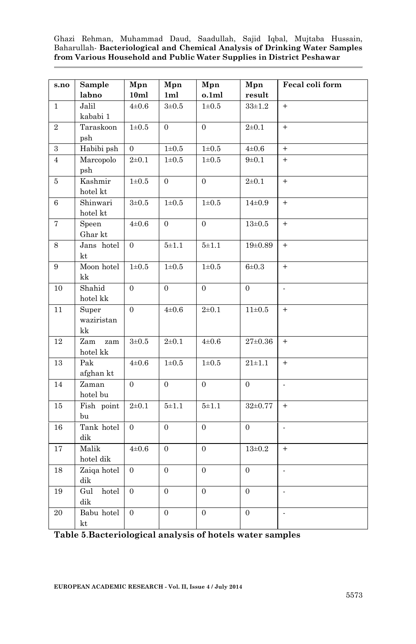| s.no           | Sample                    | Mpn              | Mpn              | Mpn              | Mpn              | Fecal coli form          |
|----------------|---------------------------|------------------|------------------|------------------|------------------|--------------------------|
|                | labno                     | 10ml             | 1ml              | 0.1ml            | result           |                          |
| $\mathbf{1}$   | Jalil<br>kababi 1         | $4\pm 0.6$       | $3\pm0.5$        | $1\pm0.5$        | $33 + 1.2$       | $+$                      |
| $\overline{2}$ | Taraskoon<br>psh          | $1\!\pm\!0.5$    | $\overline{0}$   | $\overline{0}$   | $2 + 0.1$        | $+$                      |
| $\,3$          | Habibi psh                | $\overline{0}$   | $1\!\pm\!0.5$    | $1\pm0.5$        | $4\pm 0.6$       | $+$                      |
| $\overline{4}$ | Marcopolo<br>psh          | $2 + 0.1$        | $1\pm0.5$        | $1\pm0.5$        | $9 + 0.1$        | $\ddot{}$                |
| 5              | Kashmir<br>hotel kt       | $1\!\pm\!0.5$    | $\boldsymbol{0}$ | $\boldsymbol{0}$ | $2\pm 0.1$       | $\boldsymbol{+}$         |
| 6              | Shinwari<br>hotel kt      | $3\pm0.5$        | $1\!\pm\!0.5$    | $1\pm0.5$        | $14\pm0.9$       | $+$                      |
| 7              | Speen<br>Ghar kt          | $4\pm0.6$        | $\overline{0}$   | $\overline{0}$   | $13\pm0.5$       | $+$                      |
| 8              | Jans hotel<br>kt          | $\overline{0}$   | $5\pm1.1$        | $5 + 1.1$        | $19+0.89$        | $+$                      |
| 9              | Moon hotel<br>kk          | $1\!\pm\!0.5$    | $1\!\pm\!0.5$    | $1\pm0.5$        | $6 + 0.3$        | $+$                      |
| 10             | Shahid<br>hotel $kk$      | $\overline{0}$   | $\overline{0}$   | $\overline{0}$   | $\overline{0}$   | $\overline{a}$           |
| 11             | Super<br>waziristan<br>kk | $\overline{0}$   | $4\pm 0.6$       | $2 + 0.1$        | $11\pm0.5$       | $+$                      |
| 12             | Zam<br>zam<br>hotel $kk$  | $3\pm0.5$        | $2 + 0.1$        | $4\pm 0.6$       | $27\pm0.36$      | $+$                      |
| 13             | Pak<br>afghan kt          | $4\pm 0.6$       | $1\pm0.5$        | $1\pm0.5$        | $21 \pm 1.1$     | $+$                      |
| 14             | Zaman<br>hotel bu         | $\overline{0}$   | $\overline{0}$   | $\overline{0}$   | $\overline{0}$   | $\overline{a}$           |
| 15             | Fish point<br>bu          | $2 + 0.1$        | $5 + 1.1$        | $5 + 1.1$        | $32\pm0.77$      | $\qquad \qquad +$        |
| 16             | Tank hotel<br>dik         | $\overline{0}$   | $\overline{0}$   | $\overline{0}$   | $\overline{0}$   | $\overline{a}$           |
| $17\,$         | Malik<br>hotel dik        | $4\pm 0.6$       | $\overline{0}$   | $\overline{0}$   | $13+0.2$         | $\ddot{}$                |
| $18\,$         | Zaiqa hotel<br>dik        | $\Omega$         | $\overline{0}$   | $\Omega$         | $\Omega$         | $\overline{\phantom{a}}$ |
| 19             | Gul<br>hotel<br>dik       | $\overline{0}$   | $\overline{0}$   | $\overline{0}$   | $\overline{0}$   | $\overline{a}$           |
| 20             | Babu hotel<br>kt          | $\boldsymbol{0}$ | $\boldsymbol{0}$ | $\boldsymbol{0}$ | $\boldsymbol{0}$ | $\overline{\phantom{a}}$ |

**Table 5**.**Bacteriological analysis of hotels water samples**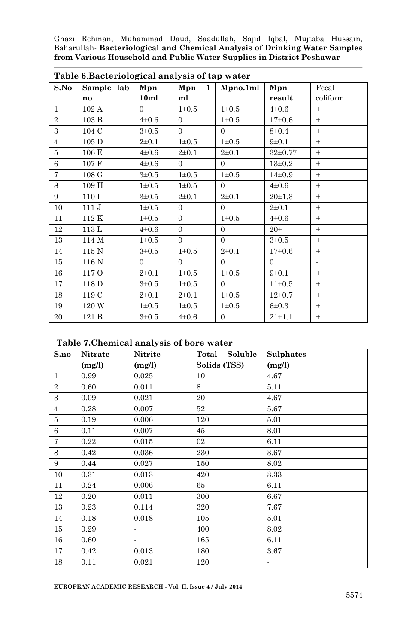|                | Table 6. Dacterfological analysis of tap water |            |                     |            |              |          |  |  |
|----------------|------------------------------------------------|------------|---------------------|------------|--------------|----------|--|--|
| S.No           | Sample lab                                     | Mpn        | Mpn<br>$\mathbf{1}$ | Mpno.1ml   | Mpn          | Fecal    |  |  |
|                | $\mathbf{n}\mathbf{o}$                         | 10ml       | ml                  |            | result       | coliform |  |  |
| $\mathbf{1}$   | 102A                                           | $\Omega$   | $1\pm0.5$           | $1\pm0.5$  | $4\pm 0.6$   | $+$      |  |  |
| $\overline{2}$ | 103 B                                          | $4\pm 0.6$ | $\Omega$            | $1\pm0.5$  | $17\pm0.6$   | $+$      |  |  |
| 3              | 104 C                                          | $3\pm0.5$  | $\Omega$            | $\Omega$   | $8 \pm 0.4$  | $+$      |  |  |
| $\overline{4}$ | 105D                                           | $2\pm 0.1$ | $1\pm0.5$           | $1\pm0.5$  | $9 \pm 0.1$  | $+$      |  |  |
| 5              | 106 E                                          | $4\pm 0.6$ | $2\pm 0.1$          | $2\pm0.1$  | $32\pm0.77$  | $+$      |  |  |
| 6              | 107 F                                          | $4\pm 0.6$ | $\Omega$            | $\Omega$   | $13\pm0.2$   | $+$      |  |  |
| $\overline{7}$ | 108 <sub>G</sub>                               | $3\pm0.5$  | $1\pm0.5$           | $1\pm0.5$  | $14\pm0.9$   | $+$      |  |  |
| 8              | 109 H                                          | $1\pm0.5$  | $1\pm0.5$           | $\Omega$   | $4\pm0.6$    | $+$      |  |  |
| 9              | 110 I                                          | $3\pm0.5$  | $2\pm 0.1$          | $2\pm 0.1$ | $20 \pm 1.3$ | $+$      |  |  |
| 10             | 111J                                           | $1\pm0.5$  | $\Omega$            | $\Omega$   | $2\pm 0.1$   | $+$      |  |  |
| 11             | 112 K                                          | $1\pm0.5$  | $\Omega$            | $1\pm0.5$  | $4\pm0.6$    | $+$      |  |  |
| 12             | 113L                                           | $4\pm0.6$  | $\Omega$            | $\Omega$   | $20\pm$      | $+$      |  |  |
| 13             | 114 M                                          | $1\pm0.5$  | $\Omega$            | $\Omega$   | $3\pm0.5$    | $+$      |  |  |
| 14             | 115 N                                          | $3\pm0.5$  | $1\pm0.5$           | $2\pm 0.1$ | $17+0.6$     | $+$      |  |  |
| 15             | 116 N                                          | $\Omega$   | $\Omega$            | $\Omega$   | $\Omega$     | ÷.       |  |  |
| 16             | 117 O                                          | $2\pm 0.1$ | $1\pm0.5$           | $1\pm0.5$  | $9 \pm 0.1$  | $+$      |  |  |
| 17             | 118 D                                          | $3\pm0.5$  | $1\pm0.5$           | $\Omega$   | $11\pm0.5$   | $+$      |  |  |
| 18             | 119 C                                          | $2\pm 0.1$ | $2\pm 0.1$          | $1\pm0.5$  | $12\pm0.7$   | $+$      |  |  |
| 19             | 120 W                                          | $1\pm0.5$  | $1\pm0.5$           | $1\pm0.5$  | $6\pm0.3$    | $+$      |  |  |
| 20             | 121 B                                          | $3\pm0.5$  | $4\pm 0.6$          | $\Omega$   | $21 \pm 1.1$ | $+$      |  |  |

| Table 6. Bacteriological analysis of tap water |  |  |  |
|------------------------------------------------|--|--|--|
|------------------------------------------------|--|--|--|

#### **Table 7.Chemical analysis of bore water**

| S.no            | Nitrate<br>(mg/l) | Nitrite<br>(mg/l) | Soluble<br>Total<br>Solids (TSS) | <b>Sulphates</b><br>(mg/l) |
|-----------------|-------------------|-------------------|----------------------------------|----------------------------|
| $\mathbf{1}$    | 0.99              | 0.025             | 10                               | 4.67                       |
| $\overline{2}$  | 0.60              | 0.011             | 8                                | 5.11                       |
| $\overline{3}$  | 0.09              | 0.021             | 20                               | 4.67                       |
| $\overline{4}$  | 0.28              | 0.007             | 52                               | 5.67                       |
| $\overline{5}$  | 0.19              | 0.006             | 120                              | 5.01                       |
| $6\phantom{.0}$ | 0.11              | 0.007             | 45                               | 8.01                       |
| $\overline{7}$  | 0.22              | 0.015             | 02                               | 6.11                       |
| 8               | 0.42              | 0.036             | 230                              | 3.67                       |
| 9               | 0.44              | 0.027             | 150                              | 8.02                       |
| 10              | 0.31              | 0.013             | 420                              | 3.33                       |
| 11              | 0.24              | 0.006             | 65                               | 6.11                       |
| 12              | 0.20              | 0.011             | 300                              | 6.67                       |
| 13              | 0.23              | 0.114             | 320                              | 7.67                       |
| 14              | 0.18              | 0.018             | 105                              | 5.01                       |
| 15              | 0.29              | ÷.                | 400                              | 8.02                       |
| 16              | 0.60              | $\sim$            | 165                              | 6.11                       |
| 17              | 0.42              | 0.013             | 180                              | 3.67                       |
| 18              | 0.11              | 0.021             | 120                              | $\overline{\phantom{0}}$   |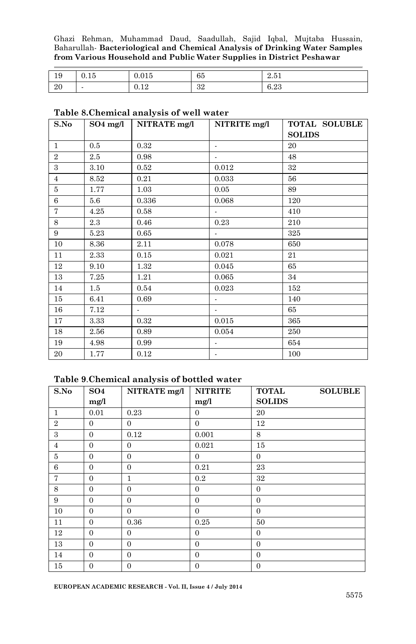| 19  | . .<br>∪.⊥⊍ | $\sim$ $+$ $\sim$<br>0.015 | 65       | 9.51<br>4.01 |
|-----|-------------|----------------------------|----------|--------------|
| -20 |             | 10<br>v. 14                | ໑໑<br>υ4 | 6.23         |

#### **Table 8.Chemical analysis of well water**

| S.No           | $SO4$ mg/l | NITRATE mg/l | NITRITE mg/l                | TOTAL SOLUBLE |
|----------------|------------|--------------|-----------------------------|---------------|
|                |            |              |                             | <b>SOLIDS</b> |
| $\mathbf{1}$   | 0.5        | 0.32         | $\blacksquare$              | 20            |
| $\overline{2}$ | 2.5        | 0.98         | $\overline{\phantom{a}}$    | 48            |
| 3              | 3.10       | 0.52         | 0.012                       | 32            |
| $\overline{4}$ | 8.52       | 0.21         | 0.033                       | 56            |
| 5              | 1.77       | 1.03         | 0.05                        | 89            |
| 6              | $5.6\,$    | 0.336        | 0.068                       | 120           |
| $\tau$         | 4.25       | 0.58         | $\mathcal{L}_{\mathcal{A}}$ | 410           |
| 8              | $2.3\,$    | 0.46         | 0.23                        | 210           |
| 9              | 5.23       | 0.65         | $\blacksquare$              | 325           |
| 10             | 8.36       | 2.11         | 0.078                       | 650           |
| 11             | 2.33       | 0.15         | 0.021                       | 21            |
| 12             | 9.10       | 1.32         | 0.045                       | 65            |
| 13             | 7.25       | 1.21         | 0.065                       | 34            |
| 14             | $1.5\,$    | 0.54         | 0.023                       | 152           |
| 15             | 6.41       | 0.69         | $\sim$                      | 140           |
| 16             | 7.12       | ÷.           | $\sim$                      | 65            |
| 17             | 3.33       | 0.32         | 0.015                       | 365           |
| 18             | 2.56       | 0.89         | 0.054                       | 250           |
| 19             | 4.98       | 0.99         | $\blacksquare$              | 654           |
| 20             | 1.77       | 0.12         | $\overline{\phantom{a}}$    | 100           |

#### **Table 9**.**Chemical analysis of bottled water**

| S.No           | SO <sub>4</sub> | NITRATE mg/l   | <b>NITRITE</b> | <b>TOTAL</b>   | <b>SOLUBLE</b> |
|----------------|-----------------|----------------|----------------|----------------|----------------|
|                | mg/l            |                | mg/l           | <b>SOLIDS</b>  |                |
| $\mathbf{1}$   | 0.01            | 0.23           | $\Omega$       | 20             |                |
| $\overline{2}$ | $\mathbf{0}$    | $\Omega$       | $\Omega$       | 12             |                |
| 3              | $\mathbf{0}$    | 0.12           | 0.001          | 8              |                |
| $\overline{4}$ | $\overline{0}$  | $\Omega$       | 0.021          | 15             |                |
| $\overline{5}$ | $\mathbf{0}$    | $\mathbf{0}$   | $\mathbf{0}$   | $\mathbf{0}$   |                |
| 6              | $\overline{0}$  | $\Omega$       | 0.21           | 23             |                |
| 7              | $\overline{0}$  | 1              | $0.2\,$        | 32             |                |
| 8              | $\overline{0}$  | $\mathbf{0}$   | $\mathbf{0}$   | $\overline{0}$ |                |
| 9              | $\overline{0}$  | $\overline{0}$ | $\overline{0}$ | $\mathbf{0}$   |                |
| 10             | $\mathbf{0}$    | $\mathbf{0}$   | $\overline{0}$ | $\mathbf{0}$   |                |
| 11             | $\overline{0}$  | 0.36           | 0.25           | 50             |                |
| 12             | $\overline{0}$  | $\mathbf{0}$   | $\overline{0}$ | $\overline{0}$ |                |
| 13             | $\mathbf{0}$    | $\mathbf{0}$   | $\Omega$       | $\mathbf{0}$   |                |
| 14             | $\overline{0}$  | $\Omega$       | $\Omega$       | $\mathbf{0}$   |                |
| 15             | $\overline{0}$  | $\mathbf{0}$   | $\overline{0}$ | $\mathbf{0}$   |                |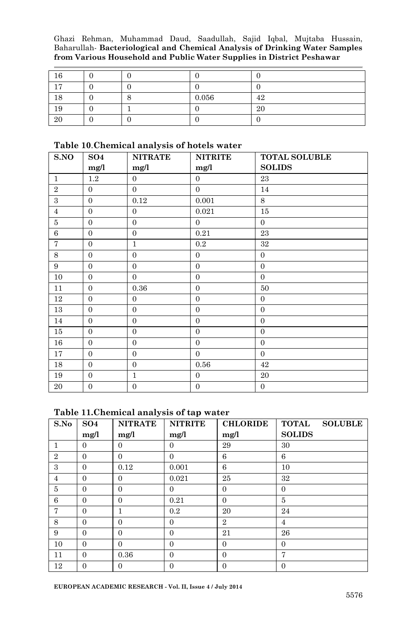| 16 |  |       |    |
|----|--|-------|----|
| 17 |  |       |    |
| 18 |  | 0.056 | 42 |
| 19 |  |       | 20 |
| 20 |  |       |    |

#### **Table 10**.**Chemical analysis of hotels water**

| S.NO           | SO <sub>4</sub>  | <b>NITRATE</b>   | <b>NITRITE</b> | <b>TOTAL SOLUBLE</b> |
|----------------|------------------|------------------|----------------|----------------------|
|                | mg/l             | mg/l             | mg/l           | <b>SOLIDS</b>        |
| $\mathbf{1}$   | 1.2              | $\boldsymbol{0}$ | $\Omega$       | 23                   |
| $\overline{2}$ | $\overline{0}$   | $\Omega$         | $\Omega$       | 14                   |
| 3              | $\mathbf{0}$     | 0.12             | 0.001          | 8                    |
| $\overline{4}$ | $\overline{0}$   | $\overline{0}$   | 0.021          | 15                   |
| $\bf 5$        | $\mathbf{0}$     | $\overline{0}$   | $\Omega$       | $\mathbf{0}$         |
| $\,6$          | $\overline{0}$   | $\overline{0}$   | 0.21           | 23                   |
| 7              | $\mathbf{0}$     | $\mathbf{1}$     | 0.2            | 32                   |
| 8              | $\mathbf{0}$     | $\overline{0}$   | $\Omega$       | $\overline{0}$       |
| 9              | $\theta$         | $\overline{0}$   | $\Omega$       | $\boldsymbol{0}$     |
| 10             | $\overline{0}$   | $\overline{0}$   | $\overline{0}$ | $\mathbf{0}$         |
| 11             | $\Omega$         | 0.36             | $\Omega$       | 50                   |
| 12             | $\theta$         | $\overline{0}$   | $\overline{0}$ | $\overline{0}$       |
| 13             | $\theta$         | $\boldsymbol{0}$ | $\Omega$       | $\boldsymbol{0}$     |
| 14             | $\overline{0}$   | $\overline{0}$   | $\Omega$       | $\overline{0}$       |
| 15             | $\Omega$         | $\overline{0}$   | $\Omega$       | $\mathbf{0}$         |
| 16             | $\theta$         | $\boldsymbol{0}$ | $\overline{0}$ | $\boldsymbol{0}$     |
| 17             | $\overline{0}$   | $\overline{0}$   | $\Omega$       | $\overline{0}$       |
| 18             | $\mathbf{0}$     | $\overline{0}$   | 0.56           | 42                   |
| 19             | $\boldsymbol{0}$ | $\mathbf{1}$     | $\Omega$       | 20                   |
| 20             | $\overline{0}$   | $\overline{0}$   | $\Omega$       | $\overline{0}$       |

#### **Table 11.Chemical analysis of tap water**

| S.No           | SO <sub>4</sub> | <b>NITRATE</b> | <b>NITRITE</b> | <b>CHLORIDE</b> | <b>TOTAL</b><br><b>SOLUBLE</b> |
|----------------|-----------------|----------------|----------------|-----------------|--------------------------------|
|                | mg/l            | mg/l           | mg/l           | mg/l            | <b>SOLIDS</b>                  |
| 1              | $\mathbf{0}$    | $\Omega$       | $\Omega$       | 29              | 30                             |
| $\overline{2}$ | $\Omega$        | $\Omega$       | $\Omega$       | 6               | 6                              |
| 3              | $\overline{0}$  | 0.12           | 0.001          | 6               | 10                             |
| $\overline{4}$ | $\overline{0}$  | $\Omega$       | 0.021          | 25              | 32                             |
| 5              | $\Omega$        | $\Omega$       | $\Omega$       | $\Omega$        | $\Omega$                       |
| 6              | $\overline{0}$  | $\Omega$       | 0.21           | $\Omega$        | 5                              |
| $\overline{7}$ | $\Omega$        | 1              | 0.2            | 20              | 24                             |
| 8              | $\Omega$        | $\Omega$       | $\Omega$       | $\overline{2}$  | 4                              |
| 9              | $\overline{0}$  | $\Omega$       | $\Omega$       | 21              | 26                             |
| 10             | $\Omega$        | $\Omega$       | $\Omega$       | $\Omega$        | $\Omega$                       |
| 11             | $\overline{0}$  | 0.36           | $\Omega$       | $\Omega$        | 7                              |
| 12             | $\overline{0}$  | $\Omega$       | $\Omega$       | $\Omega$        | $\Omega$                       |

**EUROPEAN ACADEMIC RESEARCH - Vol. II, Issue 4 / July 2014**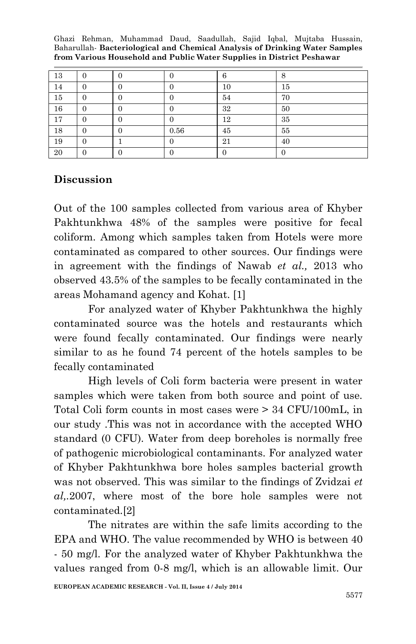| 13 |  |      |    | ⌒  |
|----|--|------|----|----|
| 14 |  |      | 10 | 15 |
| 15 |  |      | 54 | 70 |
| 16 |  |      | 32 | 50 |
| 17 |  |      | 12 | 35 |
| 18 |  | 0.56 | 45 | 55 |
| 19 |  |      | 21 | 40 |
| 20 |  |      |    |    |

### **Discussion**

Out of the 100 samples collected from various area of Khyber Pakhtunkhwa 48% of the samples were positive for fecal coliform. Among which samples taken from Hotels were more contaminated as compared to other sources. Our findings were in agreement with the findings of Nawab *et al.,* 2013 who observed 43.5% of the samples to be fecally contaminated in the areas Mohamand agency and Kohat. [1]

For analyzed water of Khyber Pakhtunkhwa the highly contaminated source was the hotels and restaurants which were found fecally contaminated. Our findings were nearly similar to as he found 74 percent of the hotels samples to be fecally contaminated

High levels of Coli form bacteria were present in water samples which were taken from both source and point of use. Total Coli form counts in most cases were > 34 CFU/100mL, in our study .This was not in accordance with the accepted WHO standard (0 CFU). Water from deep boreholes is normally free of pathogenic microbiological contaminants. For analyzed water of Khyber Pakhtunkhwa bore holes samples bacterial growth was not observed. This was similar to the findings of Zvidzai *et al,.*2007, where most of the bore hole samples were not contaminated.[2]

The nitrates are within the safe limits according to the EPA and WHO. The value recommended by WHO is between 40 - 50 mg/l. For the analyzed water of Khyber Pakhtunkhwa the values ranged from 0-8 mg/l, which is an allowable limit. Our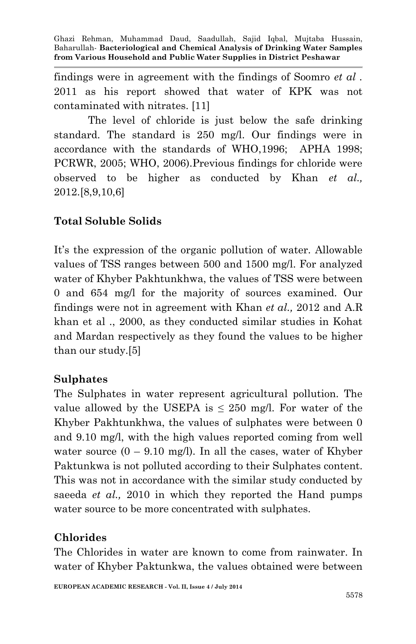findings were in agreement with the findings of Soomro *et al .* 2011 as his report showed that water of KPK was not contaminated with nitrates. [11]

The level of chloride is just below the safe drinking standard. The standard is 250 mg/l. Our findings were in accordance with the standards of WHO,1996; APHA 1998; PCRWR, 2005; WHO, 2006).Previous findings for chloride were observed to be higher as conducted by Khan *et al.,* 2012.[8,9,10,6]

# **Total Soluble Solids**

It's the expression of the organic pollution of water. Allowable values of TSS ranges between 500 and 1500 mg/l. For analyzed water of Khyber Pakhtunkhwa, the values of TSS were between 0 and 654 mg/l for the majority of sources examined. Our findings were not in agreement with Khan *et al.,* 2012 and A.R khan et al ., 2000, as they conducted similar studies in Kohat and Mardan respectively as they found the values to be higher than our study.[5]

## **Sulphates**

The Sulphates in water represent agricultural pollution. The value allowed by the USEPA is  $\leq$  250 mg/l. For water of the Khyber Pakhtunkhwa, the values of sulphates were between 0 and 9.10 mg/l, with the high values reported coming from well water source  $(0 - 9.10 \text{ mg/l})$ . In all the cases, water of Khyber Paktunkwa is not polluted according to their Sulphates content. This was not in accordance with the similar study conducted by saeeda *et al.,* 2010 in which they reported the Hand pumps water source to be more concentrated with sulphates.

## **Chlorides**

The Chlorides in water are known to come from rainwater. In water of Khyber Paktunkwa, the values obtained were between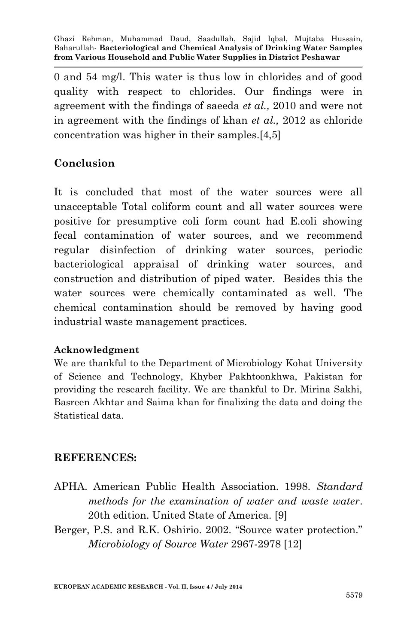0 and 54 mg/l. This water is thus low in chlorides and of good quality with respect to chlorides. Our findings were in agreement with the findings of saeeda *et al.,* 2010 and were not in agreement with the findings of khan *et al.,* 2012 as chloride concentration was higher in their samples.[4,5]

## **Conclusion**

It is concluded that most of the water sources were all unacceptable Total coliform count and all water sources were positive for presumptive coli form count had E.coli showing fecal contamination of water sources, and we recommend regular disinfection of drinking water sources, periodic bacteriological appraisal of drinking water sources, and construction and distribution of piped water. Besides this the water sources were chemically contaminated as well. The chemical contamination should be removed by having good industrial waste management practices.

### **Acknowledgment**

We are thankful to the Department of Microbiology Kohat University of Science and Technology, Khyber Pakhtoonkhwa, Pakistan for providing the research facility. We are thankful to Dr. Mirina Sakhi, Basreen Akhtar and Saima khan for finalizing the data and doing the Statistical data.

## **REFERENCES:**

- APHA. American Public Health Association. 1998. *Standard methods for the examination of water and waste water*. 20th edition. United State of America. [9]
- Berger, P.S. and R.K. Oshirio. 2002. "Source water protection." *Microbiology of Source Water* 2967-2978 [12]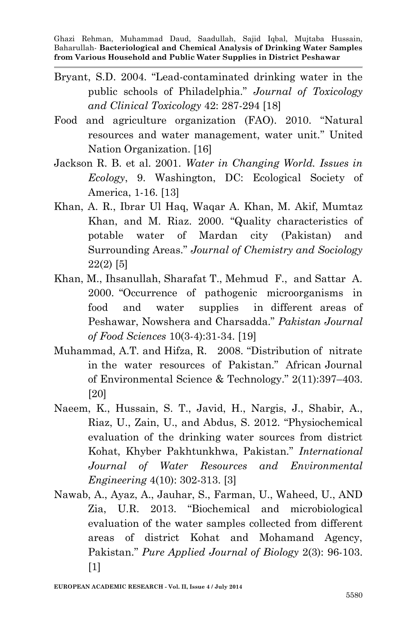- Bryant, S.D. 2004. "Lead-contaminated drinking water in the public schools of Philadelphia." *Journal of Toxicology and Clinical Toxicology* 42: 287-294 [18]
- Food and agriculture organization (FAO). 2010. "Natural resources and water management, water unit." United Nation Organization. [16]
- Jackson R. B. et al. 2001. *Water in Changing World. Issues in Ecology*, 9. Washington, DC: Ecological Society of America, 1-16. [13]
- Khan, A. R., Ibrar Ul Haq, Waqar A. Khan, M. Akif, Mumtaz Khan, and M. Riaz. 2000. "Quality characteristics of potable water of Mardan city (Pakistan) and Surrounding Areas." *Journal of Chemistry and Sociology* 22(2) [5]
- Khan, M., Ihsanullah, Sharafat T., Mehmud F., and Sattar A. 2000. "Occurrence of pathogenic microorganisms in food and water supplies in different areas of Peshawar, Nowshera and Charsadda." *Pakistan Journal of Food Sciences* 10(3-4):31-34. [19]
- Muhammad, A.T. and Hifza, R. 2008. "Distribution of nitrate in the water resources of Pakistan." African Journal of Environmental Science & Technology." 2(11):397–403. [20]
- Naeem, K., Hussain, S. T., Javid, H., Nargis, J., Shabir, A., Riaz, U., Zain, U., and Abdus, S. 2012. "Physiochemical evaluation of the drinking water sources from district Kohat, Khyber Pakhtunkhwa, Pakistan." *International Journal of Water Resources and Environmental Engineering* 4(10): 302-313. [3]
- Nawab, A., Ayaz, A., Jauhar, S., Farman, U., Waheed, U., AND Zia, U.R. 2013. "Biochemical and microbiological evaluation of the water samples collected from different areas of district Kohat and Mohamand Agency, Pakistan." *Pure Applied Journal of Biology* 2(3): 96-103. [1]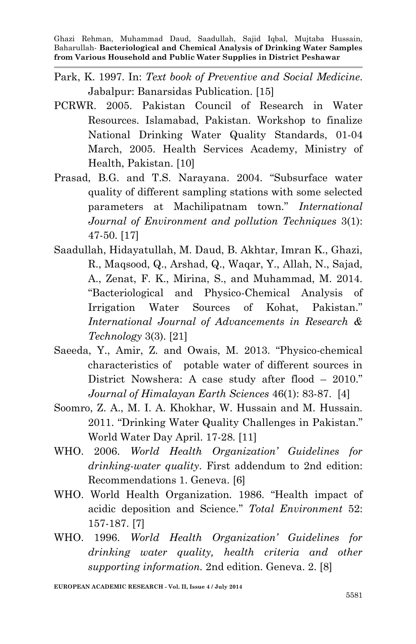- Park, K. 1997. In: *Text book of Preventive and Social Medicine*. Jabalpur: Banarsidas Publication. [15]
- PCRWR. 2005. Pakistan Council of Research in Water Resources. Islamabad, Pakistan. Workshop to finalize National Drinking Water Quality Standards, 01-04 March, 2005. Health Services Academy, Ministry of Health, Pakistan. [10]
- Prasad, B.G. and T.S. Narayana. 2004. "Subsurface water quality of different sampling stations with some selected parameters at Machilipatnam town." *International Journal of Environment and pollution Techniques* 3(1): 47-50. [17]
- Saadullah, Hidayatullah, M. Daud, B. Akhtar, Imran K., Ghazi, R., Maqsood, Q., Arshad, Q., Waqar, Y., Allah, N., Sajad, A., Zenat, F. K., Mirina, S., and Muhammad, M. 2014. "Bacteriological and Physico-Chemical Analysis of Irrigation Water Sources of Kohat, Pakistan." *International Journal of Advancements in Research & Technology* 3(3). [21]
- Saeeda, Y., Amir, Z. and Owais, M. 2013. "Physico-chemical characteristics of potable water of different sources in District Nowshera: A case study after flood – 2010." *Journal of Himalayan Earth Sciences* 46(1): 83-87. [4]
- Soomro, Z. A., M. I. A. Khokhar, W. Hussain and M. Hussain. 2011. "Drinking Water Quality Challenges in Pakistan." World Water Day April. 17-28. [11]
- WHO. 2006. *World Health Organization' Guidelines for drinking-water quality*. First addendum to 2nd edition: Recommendations 1. Geneva. [6]
- WHO. World Health Organization. 1986. "Health impact of acidic deposition and Science." *Total Environment* 52: 157-187. [7]
- WHO. 1996. *World Health Organization' Guidelines for drinking water quality, health criteria and other supporting information.* 2nd edition. Geneva. 2. [8]